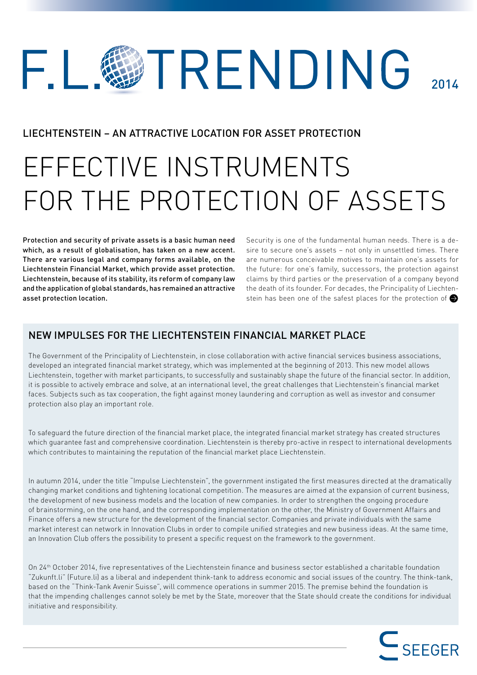## TRENDING F I.  $201<sub>k</sub>$

## LIECHTENSTEIN – AN ATTRACTIVE LOCATION FOR ASSET PROTECTION

# EFFECTIVE INSTRUMENTS FOR THE PROTECTION OF ASSETS

Protection and security of private assets is a basic human need which, as a result of globalisation, has taken on a new accent. There are various legal and company forms available, on the Liechtenstein Financial Market, which provide asset protection. Liechtenstein, because of its stability, its reform of company law and the application of global standards, has remained an attractive asset protection location.

Security is one of the fundamental human needs. There is a desire to secure one's assets – not only in unsettled times. There are numerous conceivable motives to maintain one's assets for the future: for one's family, successors, the protection against claims by third parties or the preservation of a company beyond the death of its founder. For decades, the Principality of Liechtenstein has been one of the safest places for the protection of

## NEW IMPULSES FOR THE LIECHTENSTEIN FINANCIAL MARKET PLACE

The Government of the Principality of Liechtenstein, in close collaboration with active financial services business associations, developed an integrated financial market strategy, which was implemented at the beginning of 2013. This new model allows Liechtenstein, together with market participants, to successfully and sustainably shape the future of the financial sector. In addition, it is possible to actively embrace and solve, at an international level, the great challenges that Liechtenstein's financial market faces. Subjects such as tax cooperation, the fight against money laundering and corruption as well as investor and consumer protection also play an important role.

To safeguard the future direction of the financial market place, the integrated financial market strategy has created structures which guarantee fast and comprehensive coordination. Liechtenstein is thereby pro-active in respect to international developments which contributes to maintaining the reputation of the financial market place Liechtenstein.

In autumn 2014, under the title "Impulse Liechtenstein", the government instigated the first measures directed at the dramatically changing market conditions and tightening locational competition. The measures are aimed at the expansion of current business, the development of new business models and the location of new companies. In order to strengthen the ongoing procedure of brainstorming, on the one hand, and the corresponding implementation on the other, the Ministry of Government Affairs and Finance offers a new structure for the development of the financial sector. Companies and private individuals with the same market interest can network in Innovation Clubs in order to compile unified strategies and new business ideas. At the same time, an Innovation Club offers the possibility to present a specific request on the framework to the government.

On 24th October 2014, five representatives of the Liechtenstein finance and business sector established a charitable foundation "Zukunft.li" (Future.li) as a liberal and independent think-tank to address economic and social issues of the country. The think-tank, based on the "Think-Tank Avenir Suisse", will commence operations in summer 2015. The premise behind the foundation is that the impending challenges cannot solely be met by the State, moreover that the State should create the conditions for individual initiative and responsibility.

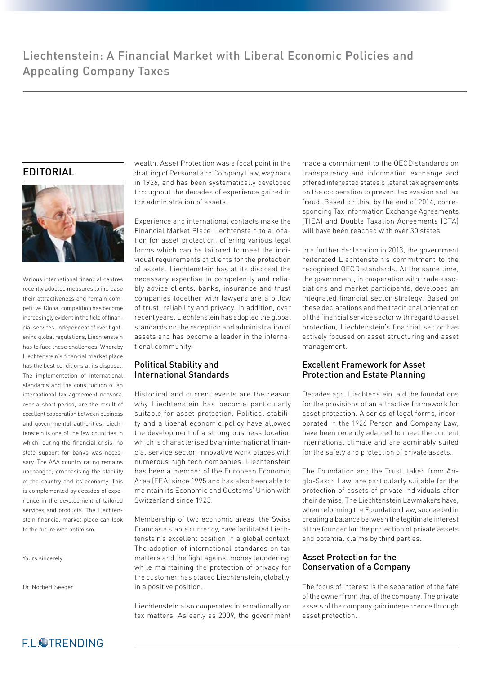## EDITORIAL



Various international financial centres recently adopted measures to increase their attractiveness and remain competitive. Global competition has become increasingly evident in the field of financial services. Independent of ever tightening global regulations, Liechtenstein has to face these challenges. Whereby Liechtenstein's financial market place has the best conditions at its disposal. The implementation of international standards and the construction of an international tax agreement network, over a short period, are the result of excellent cooperation between business and governmental authorities. Liechtenstein is one of the few countries in which, during the financial crisis, no state support for banks was necessary. The AAA country rating remains unchanged, emphasising the stability of the country and its economy. This is complemented by decades of experience in the development of tailored services and products. The Liechtenstein financial market place can look to the future with optimism.

Yours sincerely,

Dr. Norbert Seeger

wealth. Asset Protection was a focal point in the drafting of Personal and Company Law, way back in 1926, and has been systematically developed throughout the decades of experience gained in the administration of assets.

Experience and international contacts make the Financial Market Place Liechtenstein to a location for asset protection, offering various legal forms which can be tailored to meet the individual requirements of clients for the protection of assets. Liechtenstein has at its disposal the necessary expertise to competently and reliably advice clients: banks, insurance and trust companies together with lawyers are a pillow of trust, reliability and privacy. In addition, over recent years, Liechtenstein has adopted the global standards on the reception and administration of assets and has become a leader in the international community.

#### Political Stability and International Standards

Historical and current events are the reason why Liechtenstein has become particularly suitable for asset protection. Political stability and a liberal economic policy have allowed the development of a strong business location which is characterised by an international financial service sector, innovative work places with numerous high tech companies. Liechtenstein has been a member of the European Economic Area (EEA) since 1995 and has also been able to maintain its Economic and Customs' Union with Switzerland since 1923.

Membership of two economic areas, the Swiss Franc as a stable currency, have facilitated Liechtenstein's excellent position in a global context. The adoption of international standards on tax matters and the fight against money laundering, while maintaining the protection of privacy for the customer, has placed Liechtenstein, globally, in a positive position.

Liechtenstein also cooperates internationally on tax matters. As early as 2009, the government made a commitment to the OECD standards on transparency and information exchange and offered interested states bilateral tax agreements on the cooperation to prevent tax evasion and tax fraud. Based on this, by the end of 2014, corresponding Tax Information Exchange Agreements (TIEA) and Double Taxation Agreements (DTA) will have been reached with over 30 states.

In a further declaration in 2013, the government reiterated Liechtenstein's commitment to the recognised OECD standards. At the same time, the government, in cooperation with trade associations and market participants, developed an integrated financial sector strategy. Based on these declarations and the traditional orientation of the financial service sector with regard to asset protection, Liechtenstein's financial sector has actively focused on asset structuring and asset management.

### Excellent Framework for Asset Protection and Estate Planning

Decades ago, Liechtenstein laid the foundations for the provisions of an attractive framework for asset protection. A series of legal forms, incorporated in the 1926 Person and Company Law, have been recently adapted to meet the current international climate and are admirably suited for the safety and protection of private assets.

The Foundation and the Trust, taken from Anglo-Saxon Law, are particularly suitable for the protection of assets of private individuals after their demise. The Liechtenstein Lawmakers have, when reforming the Foundation Law, succeeded in creating a balance between the legitimate interest of the founder for the protection of private assets and potential claims by third parties.

#### Asset Protection for the Conservation of a Company

The focus of interest is the separation of the fate of the owner from that of the company. The private assets of the company gain independence through asset protection.

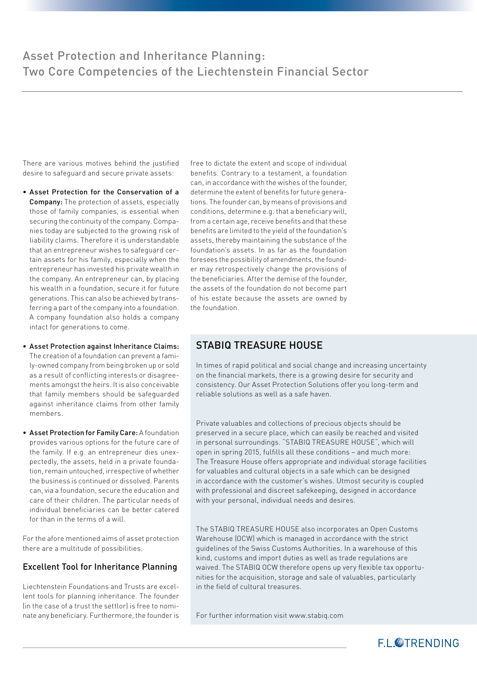There are various motives behind the justified desire to safeguard and secure private assets:

- Asset Protection for the Conservation of a Company: The protection of assets, especially those of family companies, is essential when securing the continuity of the company. Companies today are subjected to the growing risk of liability claims. Therefore it is understandable that an entrepreneur wishes to safeguard certain assets for his family, especially when the entrepreneur has invested his private wealth in the company. An entrepreneur can, by placing his wealth in a foundation, secure it for future generations. This can also be achieved by transferring a part of the company into a foundation. A company foundation also holds a company intact for generations to come.
- Asset Protection against Inheritance Claims: The creation of a foundation can prevent a family-owned company from being broken up or sold as a result of conflicting interests or disagreements amongst the heirs. It is also conceivable that family members should be safeguarded against inheritance claims from other family members.
- Asset Protection for Family Care: A foundation provides various options for the future care of the family. If e.g. an entrepreneur dies unexpectedly, the assets, held in a private foundation, remain untouched, irrespective of whether the business is continued or dissolved. Parents can, via a foundation, secure the education and care of their children. The particular needs of individual beneficiaries can be better catered for than in the terms of a will.

For the afore mentioned aims of asset protection there are a multitude of possibilities.

#### Excellent Tool for Inheritance Planning

Liechtenstein Foundations and Trusts are excellent tools for planning inheritance. The founder (in the case of a trust the settlor) is free to nominate any beneficiary. Furthermore, the founder is free to dictate the extent and scope of individual benefits. Contrary to a testament, a foundation can, in accordance with the wishes of the founder, determine the extent of benefits for future generations. The founder can, by means of provisions and conditions, determine e.g. that a beneficiary will, from a certain age, receive benefits and that these benefits are limited to the yield of the foundation's assets, thereby maintaining the substance of the foundation's assets. In as far as the foundation foresees the possibility of amendments, the founder may retrospectively change the provisions of the beneficiaries. After the demise of the founder, the assets of the foundation do not become part of his estate because the assets are owned by the foundation.

## STABIQ TREASURE HOUSE

In times of rapid political and social change and increasing uncertainty on the financial markets, there is a growing desire for security and consistency. Our Asset Protection Solutions offer you long-term and reliable solutions as well as a safe haven.

Private valuables and collections of precious objects should be preserved in a secure place, which can easily be reached and visited in personal surroundings. "STABIQ TREASURE HOUSE", which will open in spring 2015, fulfills all these conditions – and much more: The Treasure House offers appropriate and individual storage facilities for valuables and cultural objects in a safe which can be designed in accordance with the customer's wishes. Utmost security is coupled with professional and discreet safekeeping, designed in accordance with your personal, individual needs and desires.

The STABIQ TREASURE HOUSE also incorporates an Open Customs Warehouse (OCW) which is managed in accordance with the strict guidelines of the Swiss Customs Authorities. In a warehouse of this kind, customs and import duties as well as trade regulations are waived. The STABIQ OCW therefore opens up very flexible tax opportunities for the acquisition, storage and sale of valuables, particularly in the field of cultural treasures.

For further information visit www.stabiq.com